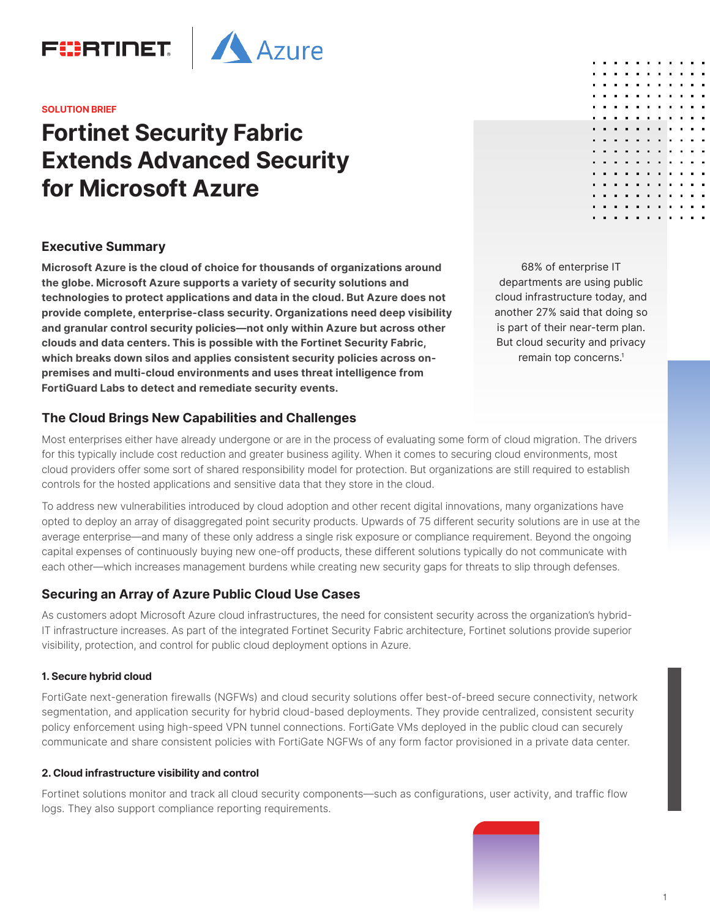

#### **SOLUTION BRIEF**

# **Fortinet Security Fabric Extends Advanced Security for Microsoft Azure**

# **Executive Summary**

**Microsoft Azure is the cloud of choice for thousands of organizations around the globe. Microsoft Azure supports a variety of security solutions and technologies to protect applications and data in the cloud. But Azure does not provide complete, enterprise-class security. Organizations need deep visibility and granular control security policies—not only within Azure but across other clouds and data centers. This is possible with the Fortinet Security Fabric, which breaks down silos and applies consistent security policies across onpremises and multi-cloud environments and uses threat intelligence from FortiGuard Labs to detect and remediate security events.** 

68% of enterprise IT departments are using public cloud infrastructure today, and another 27% said that doing so is part of their near-term plan. But cloud security and privacy remain top concerns.<sup>1</sup>

# **The Cloud Brings New Capabilities and Challenges**

Most enterprises either have already undergone or are in the process of evaluating some form of cloud migration. The drivers for this typically include cost reduction and greater business agility. When it comes to securing cloud environments, most cloud providers offer some sort of shared responsibility model for protection. But organizations are still required to establish controls for the hosted applications and sensitive data that they store in the cloud.

To address new vulnerabilities introduced by cloud adoption and other recent digital innovations, many organizations have opted to deploy an array of disaggregated point security products. Upwards of 75 different security solutions are in use at the average enterprise—and many of these only address a single risk exposure or compliance requirement. Beyond the ongoing capital expenses of continuously buying new one-off products, these different solutions typically do not communicate with each other—which increases management burdens while creating new security gaps for threats to slip through defenses.

# **Securing an Array of Azure Public Cloud Use Cases**

As customers adopt Microsoft Azure cloud infrastructures, the need for consistent security across the organization's hybrid-IT infrastructure increases. As part of the integrated Fortinet Security Fabric architecture, Fortinet solutions provide superior visibility, protection, and control for public cloud deployment options in Azure.

#### **1. Secure hybrid cloud**

FortiGate next-generation firewalls (NGFWs) and cloud security solutions offer best-of-breed secure connectivity, network segmentation, and application security for hybrid cloud-based deployments. They provide centralized, consistent security policy enforcement using high-speed VPN tunnel connections. FortiGate VMs deployed in the public cloud can securely communicate and share consistent policies with FortiGate NGFWs of any form factor provisioned in a private data center.

#### **2. Cloud infrastructure visibility and control**

Fortinet solutions monitor and track all cloud security components—such as configurations, user activity, and traffic flow logs. They also support compliance reporting requirements.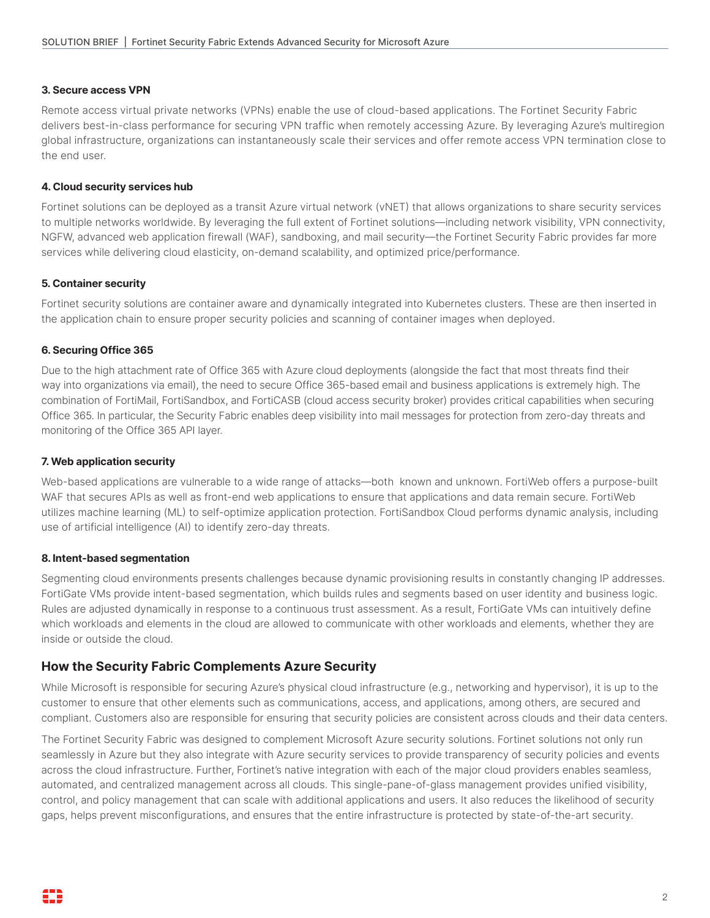#### **3. Secure access VPN**

Remote access virtual private networks (VPNs) enable the use of cloud-based applications. The Fortinet Security Fabric delivers best-in-class performance for securing VPN traffic when remotely accessing Azure. By leveraging Azure's multiregion global infrastructure, organizations can instantaneously scale their services and offer remote access VPN termination close to the end user.

#### **4. Cloud security services hub**

Fortinet solutions can be deployed as a transit Azure virtual network (vNET) that allows organizations to share security services to multiple networks worldwide. By leveraging the full extent of Fortinet solutions—including network visibility, VPN connectivity, NGFW, advanced web application firewall (WAF), sandboxing, and mail security—the Fortinet Security Fabric provides far more services while delivering cloud elasticity, on-demand scalability, and optimized price/performance.

#### **5. Container security**

Fortinet security solutions are container aware and dynamically integrated into Kubernetes clusters. These are then inserted in the application chain to ensure proper security policies and scanning of container images when deployed.

#### **6. Securing Office 365**

Due to the high attachment rate of Office 365 with Azure cloud deployments (alongside the fact that most threats find their way into organizations via email), the need to secure Office 365-based email and business applications is extremely high. The combination of FortiMail, FortiSandbox, and FortiCASB (cloud access security broker) provides critical capabilities when securing Office 365. In particular, the Security Fabric enables deep visibility into mail messages for protection from zero-day threats and monitoring of the Office 365 API layer.

#### **7. Web application security**

Web-based applications are vulnerable to a wide range of attacks—both known and unknown. FortiWeb offers a purpose-built WAF that secures APIs as well as front-end web applications to ensure that applications and data remain secure. FortiWeb utilizes machine learning (ML) to self-optimize application protection. FortiSandbox Cloud performs dynamic analysis, including use of artificial intelligence (AI) to identify zero-day threats.

#### **8. Intent-based segmentation**

Segmenting cloud environments presents challenges because dynamic provisioning results in constantly changing IP addresses. FortiGate VMs provide intent-based segmentation, which builds rules and segments based on user identity and business logic. Rules are adjusted dynamically in response to a continuous trust assessment. As a result, FortiGate VMs can intuitively define which workloads and elements in the cloud are allowed to communicate with other workloads and elements, whether they are inside or outside the cloud.

# **How the Security Fabric Complements Azure Security**

While Microsoft is responsible for securing Azure's physical cloud infrastructure (e.g., networking and hypervisor), it is up to the customer to ensure that other elements such as communications, access, and applications, among others, are secured and compliant. Customers also are responsible for ensuring that security policies are consistent across clouds and their data centers.

The Fortinet Security Fabric was designed to complement Microsoft Azure security solutions. Fortinet solutions not only run seamlessly in Azure but they also integrate with Azure security services to provide transparency of security policies and events across the cloud infrastructure. Further, Fortinet's native integration with each of the major cloud providers enables seamless, automated, and centralized management across all clouds. This single-pane-of-glass management provides unified visibility, control, and policy management that can scale with additional applications and users. It also reduces the likelihood of security gaps, helps prevent misconfigurations, and ensures that the entire infrastructure is protected by state-of-the-art security.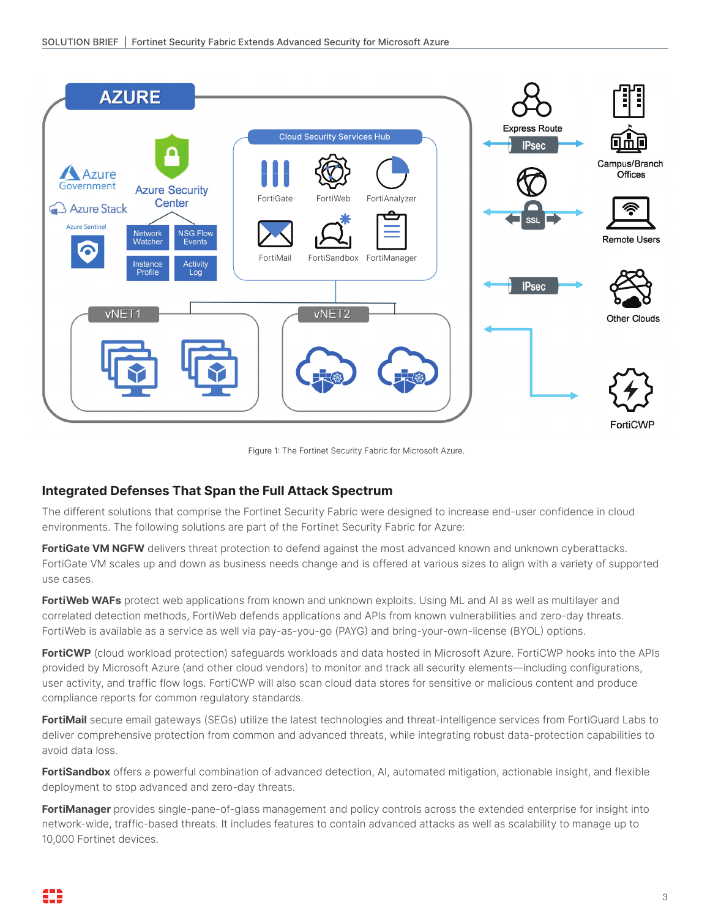

Figure 1: The Fortinet Security Fabric for Microsoft Azure.

# **Integrated Defenses That Span the Full Attack Spectrum**

The different solutions that comprise the Fortinet Security Fabric were designed to increase end-user confidence in cloud environments. The following solutions are part of the Fortinet Security Fabric for Azure:

FortiGate VM NGFW delivers threat protection to defend against the most advanced known and unknown cyberattacks. FortiGate VM scales up and down as business needs change and is offered at various sizes to align with a variety of supported use cases.

**FortiWeb WAFs** protect web applications from known and unknown exploits. Using ML and AI as well as multilayer and correlated detection methods, FortiWeb defends applications and APIs from known vulnerabilities and zero-day threats. FortiWeb is available as a service as well via pay-as-you-go (PAYG) and bring-your-own-license (BYOL) options.

**FortiCWP** (cloud workload protection) safeguards workloads and data hosted in Microsoft Azure. FortiCWP hooks into the APIs provided by Microsoft Azure (and other cloud vendors) to monitor and track all security elements—including configurations, user activity, and traffic flow logs. FortiCWP will also scan cloud data stores for sensitive or malicious content and produce compliance reports for common regulatory standards.

**FortiMail** secure email gateways (SEGs) utilize the latest technologies and threat-intelligence services from FortiGuard Labs to deliver comprehensive protection from common and advanced threats, while integrating robust data-protection capabilities to avoid data loss.

**FortiSandbox** offers a powerful combination of advanced detection, AI, automated mitigation, actionable insight, and flexible deployment to stop advanced and zero-day threats.

**FortiManager** provides single-pane-of-glass management and policy controls across the extended enterprise for insight into network-wide, traffic-based threats. It includes features to contain advanced attacks as well as scalability to manage up to 10,000 Fortinet devices.